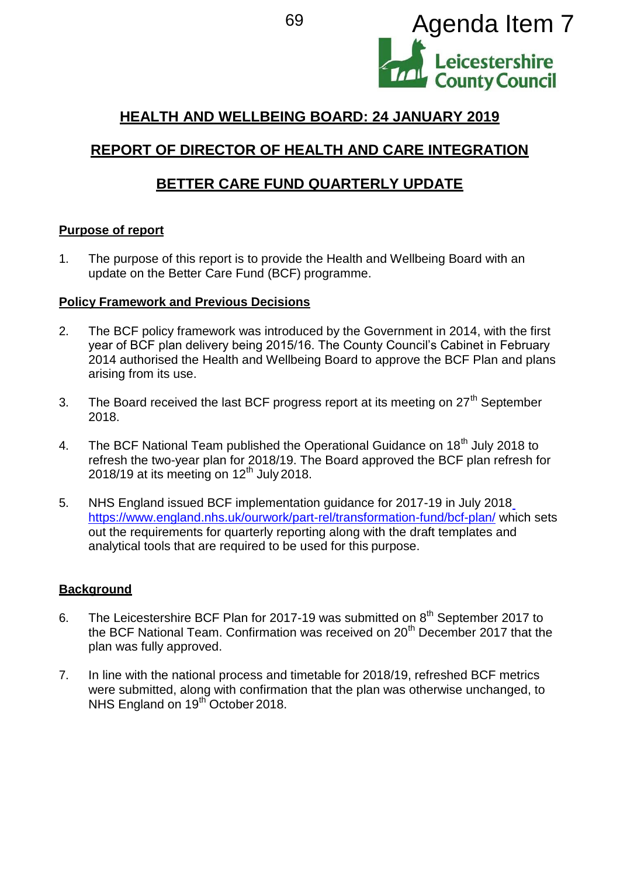

# **HEALTH AND WELLBEING BOARD: 24 JANUARY 2019**

# **REPORT OF DIRECTOR OF HEALTH AND CARE INTEGRATION**

## **BETTER CARE FUND QUARTERLY UPDATE**

#### **Purpose of report**

1. The purpose of this report is to provide the Health and Wellbeing Board with an update on the Better Care Fund (BCF) programme.

#### **Policy Framework and Previous Decisions**

- 2. The BCF policy framework was introduced by the Government in 2014, with the first year of BCF plan delivery being 2015/16. The County Council's Cabinet in February 2014 authorised the Health and Wellbeing Board to approve the BCF Plan and plans arising from its use.
- 3. The Board received the last BCF progress report at its meeting on  $27<sup>th</sup>$  September 2018.
- 4. The BCF National Team published the Operational Guidance on 18<sup>th</sup> July 2018 to refresh the two-year plan for 2018/19. The Board approved the BCF plan refresh for 2018/19 at its meeting on  $12<sup>th</sup>$  July 2018.
- 5. NHS England issued BCF implementation guidance for 2017-19 in July 2018 <https://www.england.nhs.uk/ourwork/part-rel/transformation-fund/bcf-plan/> which sets out the requirements for quarterly reporting along with the draft templates and analytical tools that are required to be used for this purpose.

#### **Background**

- 6. The Leicestershire BCF Plan for 2017-19 was submitted on  $8<sup>th</sup>$  September 2017 to the BCF National Team. Confirmation was received on 20<sup>th</sup> December 2017 that the plan was fully approved.
- 7. In line with the national process and timetable for 2018/19, refreshed BCF metrics were submitted, along with confirmation that the plan was otherwise unchanged, to NHS England on 19<sup>th October 2018.</sup>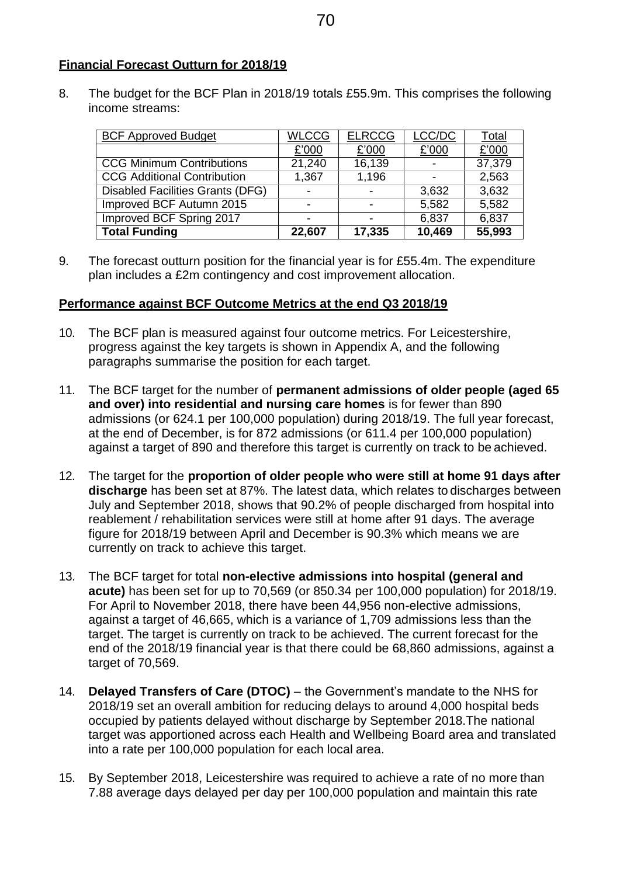#### **Financial Forecast Outturn for 2018/19**

8. The budget for the BCF Plan in 2018/19 totals £55.9m. This comprises the following income streams:

| <b>BCF Approved Budget</b>              | <b>WLCCG</b> | <b>ELRCCG</b> | LCC/DC | Total  |
|-----------------------------------------|--------------|---------------|--------|--------|
|                                         | £'000        | £'000         | £'000  | £'000  |
| <b>CCG Minimum Contributions</b>        | 21,240       | 16,139        |        | 37,379 |
| <b>CCG Additional Contribution</b>      | 1,367        | 1,196         |        | 2,563  |
| <b>Disabled Facilities Grants (DFG)</b> |              |               | 3,632  | 3,632  |
| Improved BCF Autumn 2015                |              |               | 5,582  | 5,582  |
| Improved BCF Spring 2017                |              |               | 6,837  | 6,837  |
| <b>Total Funding</b>                    | 22,607       | 17,335        | 10,469 | 55,993 |

9. The forecast outturn position for the financial year is for £55.4m. The expenditure plan includes a £2m contingency and cost improvement allocation.

#### **Performance against BCF Outcome Metrics at the end Q3 2018/19**

- 10. The BCF plan is measured against four outcome metrics. For Leicestershire, progress against the key targets is shown in Appendix A, and the following paragraphs summarise the position for each target.
- 11. The BCF target for the number of **permanent admissions of older people (aged 65 and over) into residential and nursing care homes** is for fewer than 890 admissions (or 624.1 per 100,000 population) during 2018/19. The full year forecast, at the end of December, is for 872 admissions (or 611.4 per 100,000 population) against a target of 890 and therefore this target is currently on track to be achieved.
- 12. The target for the **proportion of older people who were still at home 91 days after discharge** has been set at 87%. The latest data, which relates to discharges between July and September 2018, shows that 90.2% of people discharged from hospital into reablement / rehabilitation services were still at home after 91 days. The average figure for 2018/19 between April and December is 90.3% which means we are currently on track to achieve this target.
- 13. The BCF target for total **non-elective admissions into hospital (general and acute)** has been set for up to 70,569 (or 850.34 per 100,000 population) for 2018/19. For April to November 2018, there have been 44,956 non-elective admissions, against a target of 46,665, which is a variance of 1,709 admissions less than the target. The target is currently on track to be achieved. The current forecast for the end of the 2018/19 financial year is that there could be 68,860 admissions, against a target of 70,569.
- 14. **Delayed Transfers of Care (DTOC)**  the Government's mandate to the NHS for 2018/19 set an overall ambition for reducing delays to around 4,000 hospital beds occupied by patients delayed without discharge by September 2018.The national target was apportioned across each Health and Wellbeing Board area and translated into a rate per 100,000 population for each local area.
- 15. By September 2018, Leicestershire was required to achieve a rate of no more than 7.88 average days delayed per day per 100,000 population and maintain this rate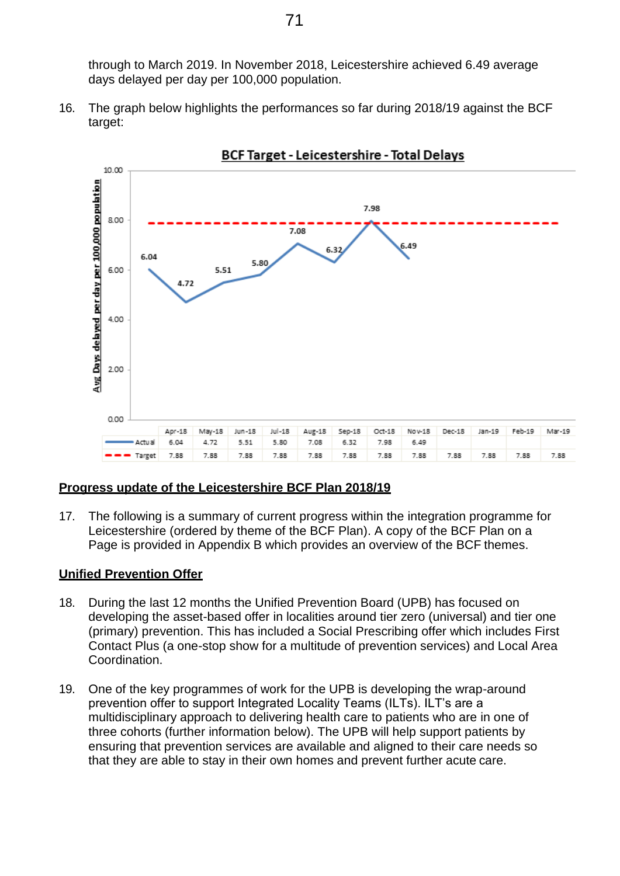through to March 2019. In November 2018, Leicestershire achieved 6.49 average days delayed per day per 100,000 population.

16. The graph below highlights the performances so far during 2018/19 against the BCF target:



**BCF Target - Leicestershire - Total Delays** 

#### **Progress update of the Leicestershire BCF Plan 2018/19**

17. The following is a summary of current progress within the integration programme for Leicestershire (ordered by theme of the BCF Plan). A copy of the BCF Plan on a Page is provided in Appendix B which provides an overview of the BCF themes.

#### **Unified Prevention Offer**

- 18. During the last 12 months the Unified Prevention Board (UPB) has focused on developing the asset-based offer in localities around tier zero (universal) and tier one (primary) prevention. This has included a Social Prescribing offer which includes First Contact Plus (a one-stop show for a multitude of prevention services) and Local Area Coordination.
- 19. One of the key programmes of work for the UPB is developing the wrap-around prevention offer to support Integrated Locality Teams (ILTs). ILT's are a multidisciplinary approach to delivering health care to patients who are in one of three cohorts (further information below). The UPB will help support patients by ensuring that prevention services are available and aligned to their care needs so that they are able to stay in their own homes and prevent further acute care.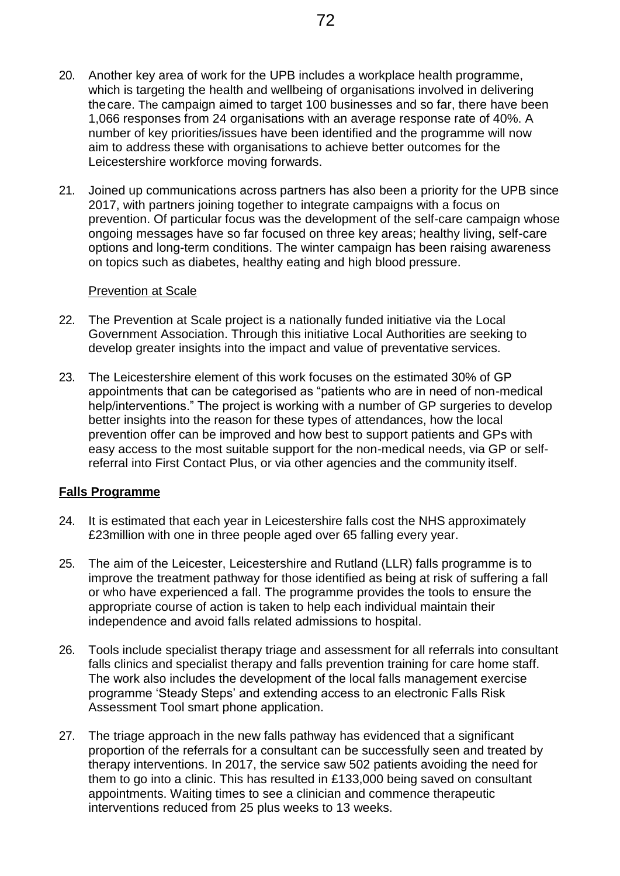- 20. Another key area of work for the UPB includes a workplace health programme, which is targeting the health and wellbeing of organisations involved in delivering thecare. The campaign aimed to target 100 businesses and so far, there have been 1,066 responses from 24 organisations with an average response rate of 40%. A number of key priorities/issues have been identified and the programme will now aim to address these with organisations to achieve better outcomes for the Leicestershire workforce moving forwards.
- 21. Joined up communications across partners has also been a priority for the UPB since 2017, with partners joining together to integrate campaigns with a focus on prevention. Of particular focus was the development of the self-care campaign whose ongoing messages have so far focused on three key areas; healthy living, self-care options and long-term conditions. The winter campaign has been raising awareness on topics such as diabetes, healthy eating and high blood pressure.

#### Prevention at Scale

- 22. The Prevention at Scale project is a nationally funded initiative via the Local Government Association. Through this initiative Local Authorities are seeking to develop greater insights into the impact and value of preventative services.
- 23. The Leicestershire element of this work focuses on the estimated 30% of GP appointments that can be categorised as "patients who are in need of non-medical help/interventions." The project is working with a number of GP surgeries to develop better insights into the reason for these types of attendances, how the local prevention offer can be improved and how best to support patients and GPs with easy access to the most suitable support for the non-medical needs, via GP or selfreferral into First Contact Plus, or via other agencies and the community itself.

#### **Falls Programme**

- 24. It is estimated that each year in Leicestershire falls cost the NHS approximately £23million with one in three people aged over 65 falling every year.
- 25. The aim of the Leicester, Leicestershire and Rutland (LLR) falls programme is to improve the treatment pathway for those identified as being at risk of suffering a fall or who have experienced a fall. The programme provides the tools to ensure the appropriate course of action is taken to help each individual maintain their independence and avoid falls related admissions to hospital.
- 26. Tools include specialist therapy triage and assessment for all referrals into consultant falls clinics and specialist therapy and falls prevention training for care home staff. The work also includes the development of the local falls management exercise programme 'Steady Steps' and extending access to an electronic Falls Risk Assessment Tool smart phone application.
- 27. The triage approach in the new falls pathway has evidenced that a significant proportion of the referrals for a consultant can be successfully seen and treated by therapy interventions. In 2017, the service saw 502 patients avoiding the need for them to go into a clinic. This has resulted in £133,000 being saved on consultant appointments. Waiting times to see a clinician and commence therapeutic interventions reduced from 25 plus weeks to 13 weeks.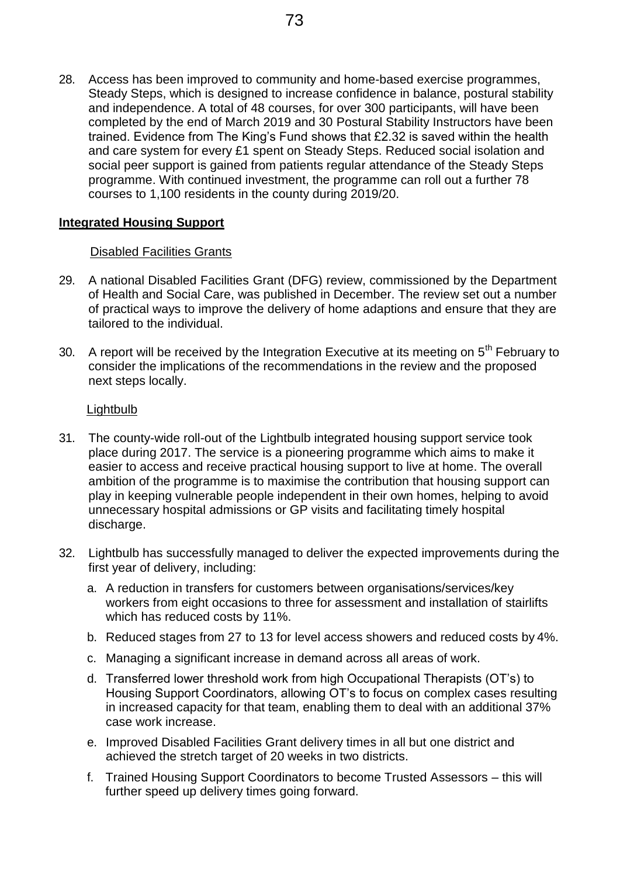28. Access has been improved to community and home-based exercise programmes, Steady Steps, which is designed to increase confidence in balance, postural stability and independence. A total of 48 courses, for over 300 participants, will have been completed by the end of March 2019 and 30 Postural Stability Instructors have been trained. Evidence from The King's Fund shows that £2.32 is saved within the health and care system for every £1 spent on Steady Steps. Reduced social isolation and social peer support is gained from patients regular attendance of the Steady Steps programme. With continued investment, the programme can roll out a further 78 courses to 1,100 residents in the county during 2019/20.

#### **Integrated Housing Support**

#### Disabled Facilities Grants

- 29. A national Disabled Facilities Grant (DFG) review, commissioned by the Department of Health and Social Care, was published in December. The review set out a number of practical ways to improve the delivery of home adaptions and ensure that they are tailored to the individual.
- 30. A report will be received by the Integration Executive at its meeting on  $5<sup>th</sup>$  February to consider the implications of the recommendations in the review and the proposed next steps locally.

#### Lightbulb

- 31. The county-wide roll-out of the Lightbulb integrated housing support service took place during 2017. The service is a pioneering programme which aims to make it easier to access and receive practical housing support to live at home. The overall ambition of the programme is to maximise the contribution that housing support can play in keeping vulnerable people independent in their own homes, helping to avoid unnecessary hospital admissions or GP visits and facilitating timely hospital discharge.
- 32. Lightbulb has successfully managed to deliver the expected improvements during the first year of delivery, including:
	- a. A reduction in transfers for customers between organisations/services/key workers from eight occasions to three for assessment and installation of stairlifts which has reduced costs by 11%.
	- b. Reduced stages from 27 to 13 for level access showers and reduced costs by 4%.
	- c. Managing a significant increase in demand across all areas of work.
	- d. Transferred lower threshold work from high Occupational Therapists (OT's) to Housing Support Coordinators, allowing OT's to focus on complex cases resulting in increased capacity for that team, enabling them to deal with an additional 37% case work increase.
	- e. Improved Disabled Facilities Grant delivery times in all but one district and achieved the stretch target of 20 weeks in two districts.
	- f. Trained Housing Support Coordinators to become Trusted Assessors this will further speed up delivery times going forward.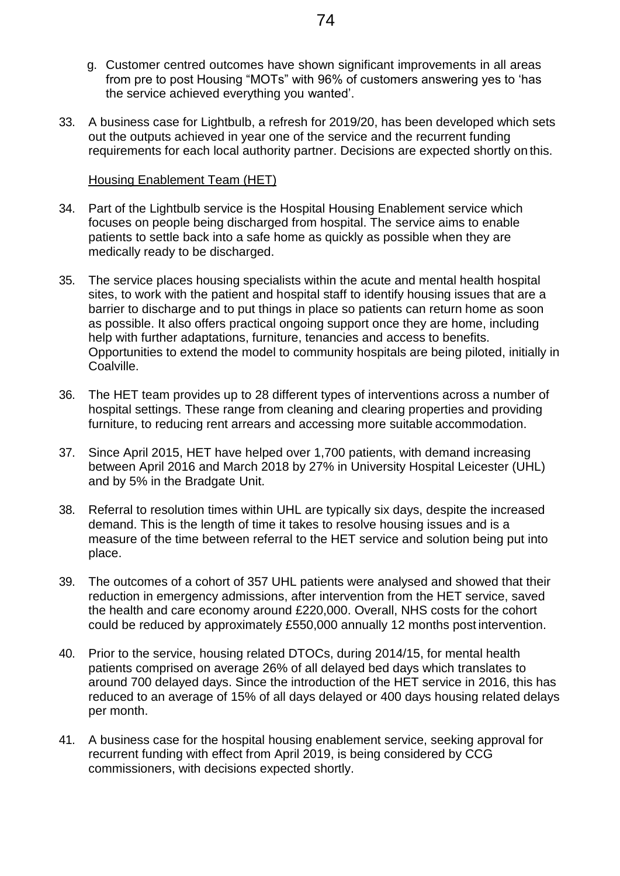- g. Customer centred outcomes have shown significant improvements in all areas from pre to post Housing "MOTs" with 96% of customers answering yes to 'has the service achieved everything you wanted'.
- 33. A business case for Lightbulb, a refresh for 2019/20, has been developed which sets out the outputs achieved in year one of the service and the recurrent funding requirements for each local authority partner. Decisions are expected shortly on this.

#### Housing Enablement Team (HET)

- 34. Part of the Lightbulb service is the Hospital Housing Enablement service which focuses on people being discharged from hospital. The service aims to enable patients to settle back into a safe home as quickly as possible when they are medically ready to be discharged.
- 35. The service places housing specialists within the acute and mental health hospital sites, to work with the patient and hospital staff to identify housing issues that are a barrier to discharge and to put things in place so patients can return home as soon as possible. It also offers practical ongoing support once they are home, including help with further adaptations, furniture, tenancies and access to benefits. Opportunities to extend the model to community hospitals are being piloted, initially in Coalville.
- 36. The HET team provides up to 28 different types of interventions across a number of hospital settings. These range from cleaning and clearing properties and providing furniture, to reducing rent arrears and accessing more suitable accommodation.
- 37. Since April 2015, HET have helped over 1,700 patients, with demand increasing between April 2016 and March 2018 by 27% in University Hospital Leicester (UHL) and by 5% in the Bradgate Unit.
- 38. Referral to resolution times within UHL are typically six days, despite the increased demand. This is the length of time it takes to resolve housing issues and is a measure of the time between referral to the HET service and solution being put into place.
- 39. The outcomes of a cohort of 357 UHL patients were analysed and showed that their reduction in emergency admissions, after intervention from the HET service, saved the health and care economy around £220,000. Overall, NHS costs for the cohort could be reduced by approximately £550,000 annually 12 months post intervention.
- 40. Prior to the service, housing related DTOCs, during 2014/15, for mental health patients comprised on average 26% of all delayed bed days which translates to around 700 delayed days. Since the introduction of the HET service in 2016, this has reduced to an average of 15% of all days delayed or 400 days housing related delays per month.
- 41. A business case for the hospital housing enablement service, seeking approval for recurrent funding with effect from April 2019, is being considered by CCG commissioners, with decisions expected shortly.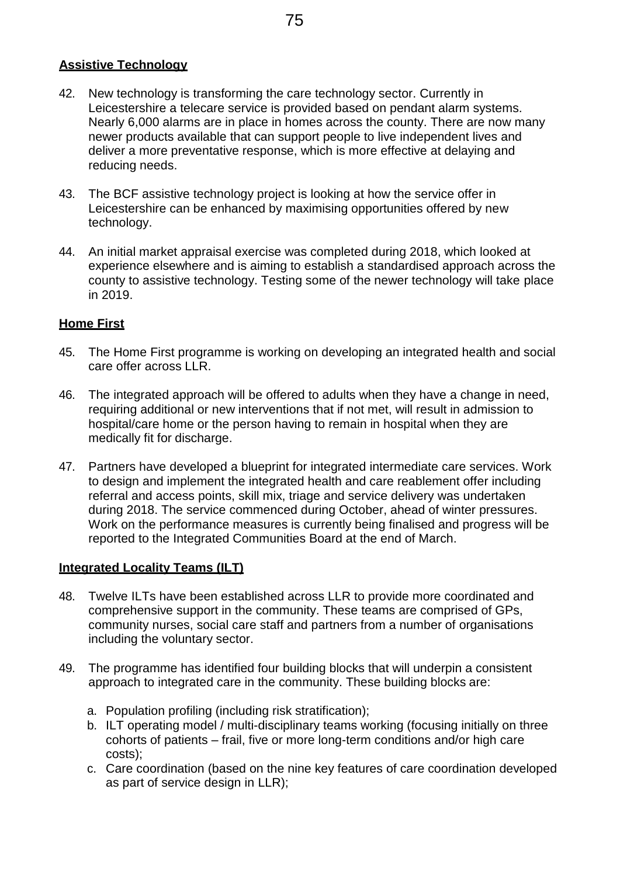#### **Assistive Technology**

- 42. New technology is transforming the care technology sector. Currently in Leicestershire a telecare service is provided based on pendant alarm systems. Nearly 6,000 alarms are in place in homes across the county. There are now many newer products available that can support people to live independent lives and deliver a more preventative response, which is more effective at delaying and reducing needs.
- 43. The BCF assistive technology project is looking at how the service offer in Leicestershire can be enhanced by maximising opportunities offered by new technology.
- 44. An initial market appraisal exercise was completed during 2018, which looked at experience elsewhere and is aiming to establish a standardised approach across the county to assistive technology. Testing some of the newer technology will take place in 2019.

#### **Home First**

- 45. The Home First programme is working on developing an integrated health and social care offer across LLR.
- 46. The integrated approach will be offered to adults when they have a change in need, requiring additional or new interventions that if not met, will result in admission to hospital/care home or the person having to remain in hospital when they are medically fit for discharge.
- 47. Partners have developed a blueprint for integrated intermediate care services. Work to design and implement the integrated health and care reablement offer including referral and access points, skill mix, triage and service delivery was undertaken during 2018. The service commenced during October, ahead of winter pressures. Work on the performance measures is currently being finalised and progress will be reported to the Integrated Communities Board at the end of March.

#### **Integrated Locality Teams (ILT)**

- 48. Twelve ILTs have been established across LLR to provide more coordinated and comprehensive support in the community. These teams are comprised of GPs, community nurses, social care staff and partners from a number of organisations including the voluntary sector.
- 49. The programme has identified four building blocks that will underpin a consistent approach to integrated care in the community. These building blocks are:
	- a. Population profiling (including risk stratification);
	- b. ILT operating model / multi-disciplinary teams working (focusing initially on three cohorts of patients – frail, five or more long-term conditions and/or high care costs);
	- c. Care coordination (based on the nine key features of care coordination developed as part of service design in LLR);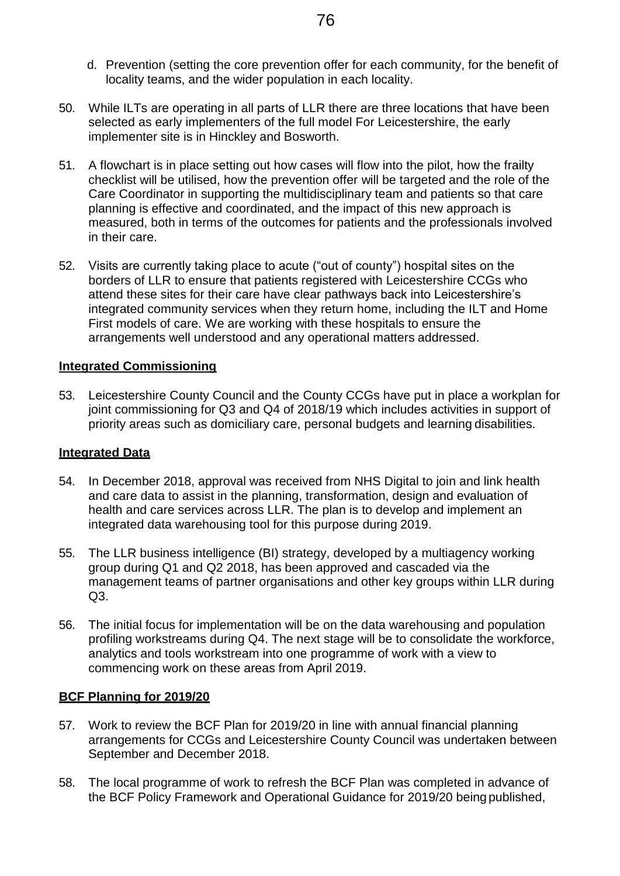- d. Prevention (setting the core prevention offer for each community, for the benefit of locality teams, and the wider population in each locality.
- 50. While ILTs are operating in all parts of LLR there are three locations that have been selected as early implementers of the full model For Leicestershire, the early implementer site is in Hinckley and Bosworth.
- 51. A flowchart is in place setting out how cases will flow into the pilot, how the frailty checklist will be utilised, how the prevention offer will be targeted and the role of the Care Coordinator in supporting the multidisciplinary team and patients so that care planning is effective and coordinated, and the impact of this new approach is measured, both in terms of the outcomes for patients and the professionals involved in their care.
- 52. Visits are currently taking place to acute ("out of county") hospital sites on the borders of LLR to ensure that patients registered with Leicestershire CCGs who attend these sites for their care have clear pathways back into Leicestershire's integrated community services when they return home, including the ILT and Home First models of care. We are working with these hospitals to ensure the arrangements well understood and any operational matters addressed.

#### **Integrated Commissioning**

53. Leicestershire County Council and the County CCGs have put in place a workplan for joint commissioning for Q3 and Q4 of 2018/19 which includes activities in support of priority areas such as domiciliary care, personal budgets and learning disabilities.

#### **Integrated Data**

- 54. In December 2018, approval was received from NHS Digital to join and link health and care data to assist in the planning, transformation, design and evaluation of health and care services across LLR. The plan is to develop and implement an integrated data warehousing tool for this purpose during 2019.
- 55. The LLR business intelligence (BI) strategy, developed by a multiagency working group during Q1 and Q2 2018, has been approved and cascaded via the management teams of partner organisations and other key groups within LLR during Q3.
- 56. The initial focus for implementation will be on the data warehousing and population profiling workstreams during Q4. The next stage will be to consolidate the workforce, analytics and tools workstream into one programme of work with a view to commencing work on these areas from April 2019.

#### **BCF Planning for 2019/20**

- 57. Work to review the BCF Plan for 2019/20 in line with annual financial planning arrangements for CCGs and Leicestershire County Council was undertaken between September and December 2018.
- 58. The local programme of work to refresh the BCF Plan was completed in advance of the BCF Policy Framework and Operational Guidance for 2019/20 being published,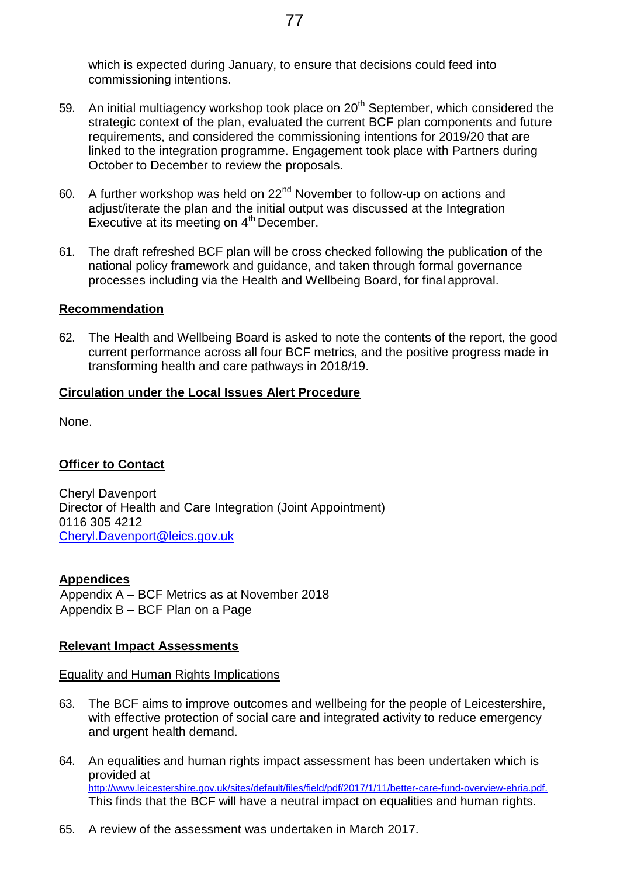which is expected during January, to ensure that decisions could feed into commissioning intentions.

- 59. An initial multiagency workshop took place on  $20<sup>th</sup>$  September, which considered the strategic context of the plan, evaluated the current BCF plan components and future requirements, and considered the commissioning intentions for 2019/20 that are linked to the integration programme. Engagement took place with Partners during October to December to review the proposals.
- 60. A further workshop was held on 22<sup>nd</sup> November to follow-up on actions and adjust/iterate the plan and the initial output was discussed at the Integration Executive at its meeting on 4<sup>th</sup> December.
- 61. The draft refreshed BCF plan will be cross checked following the publication of the national policy framework and guidance, and taken through formal governance processes including via the Health and Wellbeing Board, for final approval.

#### **Recommendation**

62. The Health and Wellbeing Board is asked to note the contents of the report, the good current performance across all four BCF metrics, and the positive progress made in transforming health and care pathways in 2018/19.

#### **Circulation under the Local Issues Alert Procedure**

None.

#### **Officer to Contact**

Cheryl Davenport Director of Health and Care Integration (Joint Appointment) 0116 305 4212 [Cheryl.Davenport@leics.gov.uk](mailto:Cheryl.Davenport@leics.gov.uk)

#### **Appendices**

 Appendix A – BCF Metrics as at November 2018 Appendix B – BCF Plan on a Page

#### **Relevant Impact Assessments**

Equality and Human Rights Implications

- 63. The BCF aims to improve outcomes and wellbeing for the people of Leicestershire, with effective protection of social care and integrated activity to reduce emergency and urgent health demand.
- 64. An equalities and human rights impact assessment has been undertaken which is provided at [http://www.leicestershire.gov.uk/sites/default/files/field/pdf/2017/1/11/better-care-fund-overview-ehria.pdf.](http://www.leicestershire.gov.uk/sites/default/files/field/pdf/2017/1/11/better-care-fund-overview-ehria.pdf) This finds that the BCF will have a neutral impact on equalities and human rights.
- 65. A review of the assessment was undertaken in March 2017.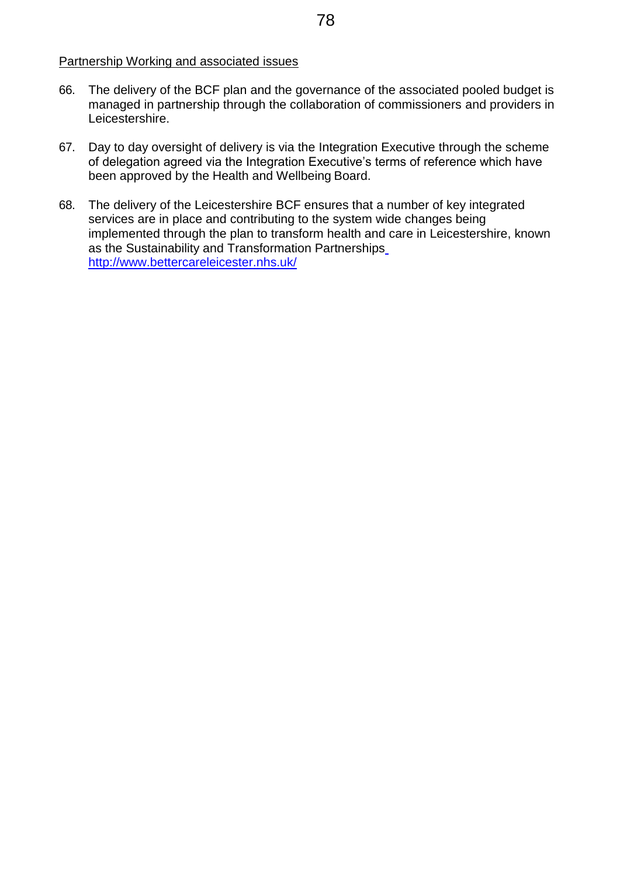#### Partnership Working and associated issues

- 66. The delivery of the BCF plan and the governance of the associated pooled budget is managed in partnership through the collaboration of commissioners and providers in Leicestershire.
- 67. Day to day oversight of delivery is via the Integration Executive through the scheme of delegation agreed via the Integration Executive's terms of reference which have been approved by the Health and Wellbeing Board.
- 68. The delivery of the Leicestershire BCF ensures that a number of key integrated services are in place and contributing to the system wide changes being implemented through the plan to transform health and care in Leicestershire, known as the Sustainability and Transformation Partnerships <http://www.bettercareleicester.nhs.uk/>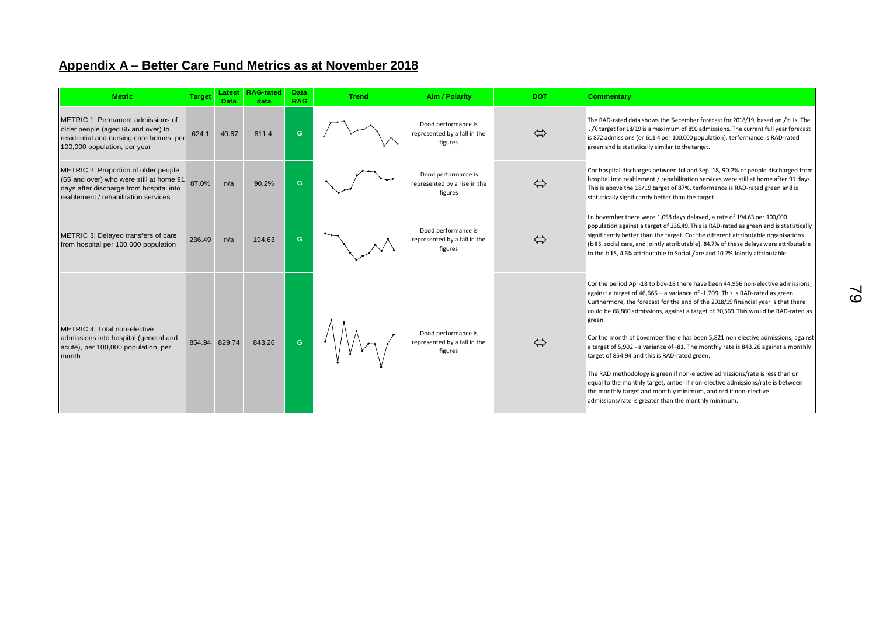### **Appendix A – Better Care Fund Metrics as at November 2018**

| <b>Metric</b>                                                                                                                                                      | <b>Target</b> | Latest<br><b>Data</b> | <b>RAG-rated</b><br>data | <b>Data</b><br><b>RAG</b> | <b>Trend</b> | <b>Aim / Polarity</b>                                          | <b>DOT</b> | <b>Commentary</b>                                                                                                                                                                                                                                                                                                                                                                                                                                                                                                                                                                                                                                                                                                                                                                                                                                                             |
|--------------------------------------------------------------------------------------------------------------------------------------------------------------------|---------------|-----------------------|--------------------------|---------------------------|--------------|----------------------------------------------------------------|------------|-------------------------------------------------------------------------------------------------------------------------------------------------------------------------------------------------------------------------------------------------------------------------------------------------------------------------------------------------------------------------------------------------------------------------------------------------------------------------------------------------------------------------------------------------------------------------------------------------------------------------------------------------------------------------------------------------------------------------------------------------------------------------------------------------------------------------------------------------------------------------------|
| METRIC 1: Permanent admissions of<br>older people (aged 65 and over) to<br>residential and nursing care homes, per<br>100,000 population, per year                 | 624.1         | 40.67                 | 611.4                    | G                         |              | Dood performance is<br>represented by a fall in the<br>figures | ⇔          | The RAD-rated data shows the 5ecember forecast for 2018/19, based on /tLLs. The<br>. / C target for 18/19 is a maximum of 890 admissions. The current full year forecast<br>is 872 admissions (or 611.4 per 100,000 population). terformance is RAD-rated<br>green and is statistically similar to the target.                                                                                                                                                                                                                                                                                                                                                                                                                                                                                                                                                                |
| METRIC 2: Proportion of older people<br>(65 and over) who were still at home 91<br>days after discharge from hospital into<br>reablement / rehabilitation services | 87.0%         | n/a                   | 90.2%                    | G                         |              | Dood performance is<br>represented by a rise in the<br>figures | ⇔          | Cor hospital discharges between Jul and Sep '18, 90.2% of people discharged from<br>hospital into reablement / rehabilitation services were still at home after 91 days.<br>This is above the 18/19 target of 87%. terformance is RAD-rated green and is<br>statistically significantly better than the target.                                                                                                                                                                                                                                                                                                                                                                                                                                                                                                                                                               |
| METRIC 3: Delayed transfers of care<br>from hospital per 100,000 population                                                                                        | 236.49        | n/a                   | 194.63                   | G                         |              | Dood performance is<br>represented by a fall in the<br>figures | ⇔          | Ln bovember there were 1,058 days delayed, a rate of 194.63 per 100,000<br>population against a target of 236.49. This is RAD-rated as green and is statistically<br>significantly better than the target. Cor the different attributable organisations<br>(b I S, social care, and jointly attributable), 84.7% of these delays were attributable<br>to the b IS, 4.6% attributable to Social /are and 10.7% Jointly attributable.                                                                                                                                                                                                                                                                                                                                                                                                                                           |
| METRIC 4: Total non-elective<br>admissions into hospital (general and<br>acute), per 100,000 population, per<br>month                                              | 854.94 829.74 |                       | 843.26                   | G                         |              | Dood performance is<br>represented by a fall in the<br>figures | ⇔          | Cor the period Apr-18 to bov-18 there have been 44,956 non-elective admissions,<br>against a target of 46,665 - a variance of -1,709. This is RAD-rated as green.<br>Curthermore, the forecast for the end of the 2018/19 financial year is that there<br>could be 68,860 admissions, against a target of 70,569. This would be RAD-rated as<br>green.<br>Cor the month of bovember there has been 5,821 non elective admissions, against<br>a target of 5,902 - a variance of -81. The monthly rate is 843.26 against a monthly<br>target of 854.94 and this is RAD-rated green.<br>The RAD methodology is green if non-elective admissions/rate is less than or<br>equal to the monthly target, amber if non-elective admissions/rate is between<br>the monthly target and monthly minimum, and red if non-elective<br>admissions/rate is greater than the monthly minimum. |